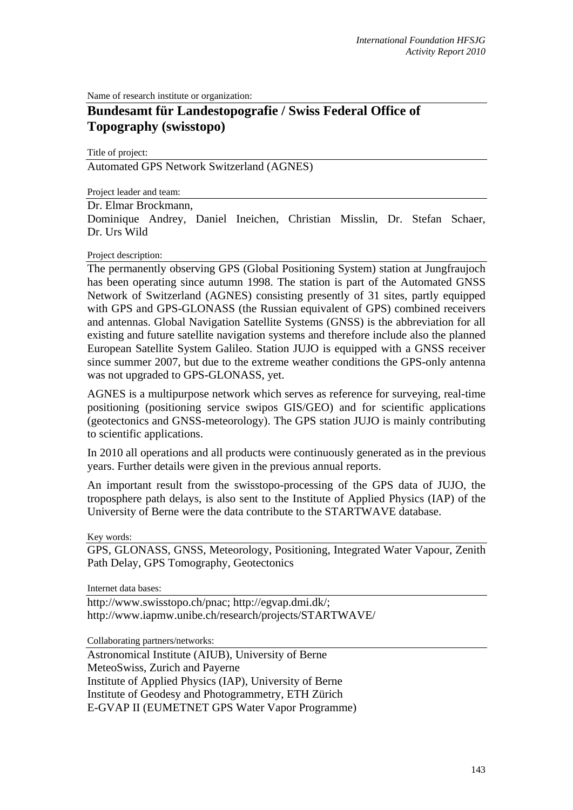Name of research institute or organization:

## **Bundesamt für Landestopografie / Swiss Federal Office of Topography (swisstopo)**

Title of project:

Automated GPS Network Switzerland (AGNES)

Project leader and team:

## Dr. Elmar Brockmann,

Dominique Andrey, Daniel Ineichen, Christian Misslin, Dr. Stefan Schaer, Dr. Urs Wild

## Project description:

The permanently observing GPS (Global Positioning System) station at Jungfraujoch has been operating since autumn 1998. The station is part of the Automated GNSS Network of Switzerland (AGNES) consisting presently of 31 sites, partly equipped with GPS and GPS-GLONASS (the Russian equivalent of GPS) combined receivers and antennas. Global Navigation Satellite Systems (GNSS) is the abbreviation for all existing and future satellite navigation systems and therefore include also the planned European Satellite System Galileo. Station JUJO is equipped with a GNSS receiver since summer 2007, but due to the extreme weather conditions the GPS-only antenna was not upgraded to GPS-GLONASS, yet.

AGNES is a multipurpose network which serves as reference for surveying, real-time positioning (positioning service swipos GIS/GEO) and for scientific applications (geotectonics and GNSS-meteorology). The GPS station JUJO is mainly contributing to scientific applications.

In 2010 all operations and all products were continuously generated as in the previous years. Further details were given in the previous annual reports.

An important result from the swisstopo-processing of the GPS data of JUJO, the troposphere path delays, is also sent to the Institute of Applied Physics (IAP) of the University of Berne were the data contribute to the STARTWAVE database.

Key words:

GPS, GLONASS, GNSS, Meteorology, Positioning, Integrated Water Vapour, Zenith Path Delay, GPS Tomography, Geotectonics

Internet data bases:

http://www.swisstopo.ch/pnac; http://egvap.dmi.dk/; http://www.iapmw.unibe.ch/research/projects/STARTWAVE/

Collaborating partners/networks:

Astronomical Institute (AIUB), University of Berne MeteoSwiss, Zurich and Payerne Institute of Applied Physics (IAP), University of Berne Institute of Geodesy and Photogrammetry, ETH Zürich E-GVAP II (EUMETNET GPS Water Vapor Programme)